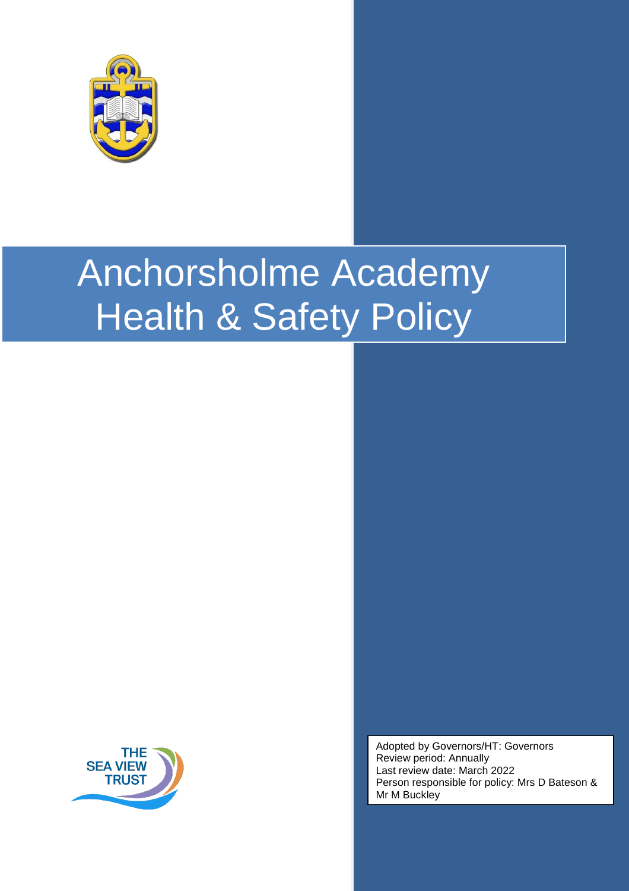



Adopted by Governors/HT: Governors Review period: Annually Last review date: March 2022 Person responsible for policy: Mrs D Bateson & Mr M Buckley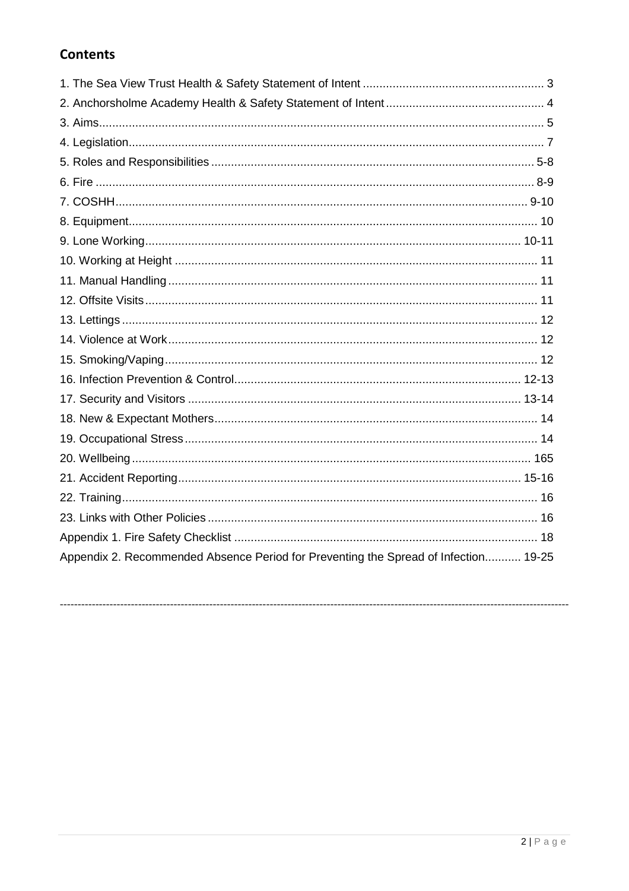# **Contents**

| Appendix 2. Recommended Absence Period for Preventing the Spread of Infection 19-25 |
|-------------------------------------------------------------------------------------|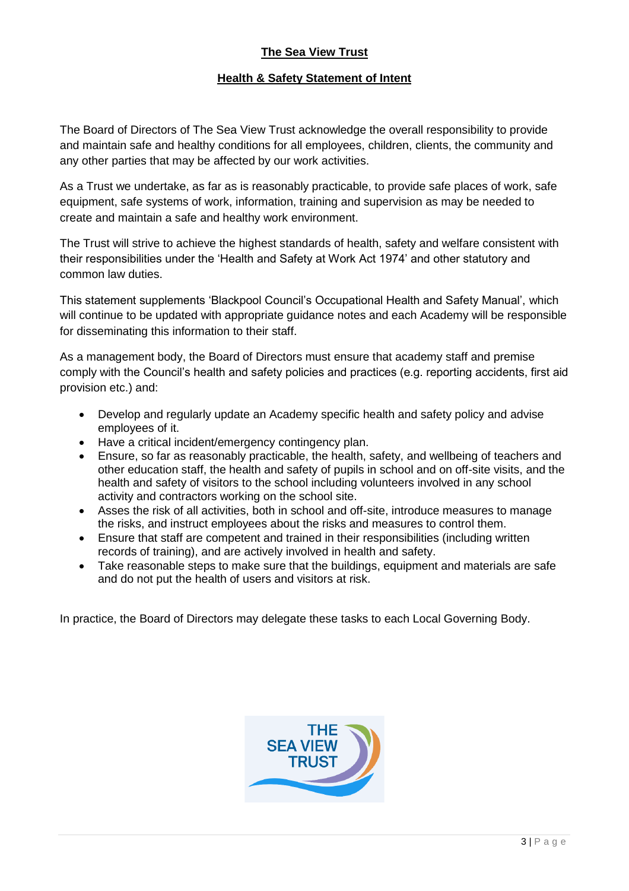## **The Sea View Trust**

## **Health & Safety Statement of Intent**

The Board of Directors of The Sea View Trust acknowledge the overall responsibility to provide and maintain safe and healthy conditions for all employees, children, clients, the community and any other parties that may be affected by our work activities.

As a Trust we undertake, as far as is reasonably practicable, to provide safe places of work, safe equipment, safe systems of work, information, training and supervision as may be needed to create and maintain a safe and healthy work environment.

The Trust will strive to achieve the highest standards of health, safety and welfare consistent with their responsibilities under the 'Health and Safety at Work Act 1974' and other statutory and common law duties.

This statement supplements 'Blackpool Council's Occupational Health and Safety Manual', which will continue to be updated with appropriate guidance notes and each Academy will be responsible for disseminating this information to their staff.

As a management body, the Board of Directors must ensure that academy staff and premise comply with the Council's health and safety policies and practices (e.g. reporting accidents, first aid provision etc.) and:

- Develop and regularly update an Academy specific health and safety policy and advise employees of it.
- Have a critical incident/emergency contingency plan.
- Ensure, so far as reasonably practicable, the health, safety, and wellbeing of teachers and other education staff, the health and safety of pupils in school and on off-site visits, and the health and safety of visitors to the school including volunteers involved in any school activity and contractors working on the school site.
- Asses the risk of all activities, both in school and off-site, introduce measures to manage the risks, and instruct employees about the risks and measures to control them.
- Ensure that staff are competent and trained in their responsibilities (including written records of training), and are actively involved in health and safety.
- Take reasonable steps to make sure that the buildings, equipment and materials are safe and do not put the health of users and visitors at risk.

In practice, the Board of Directors may delegate these tasks to each Local Governing Body.

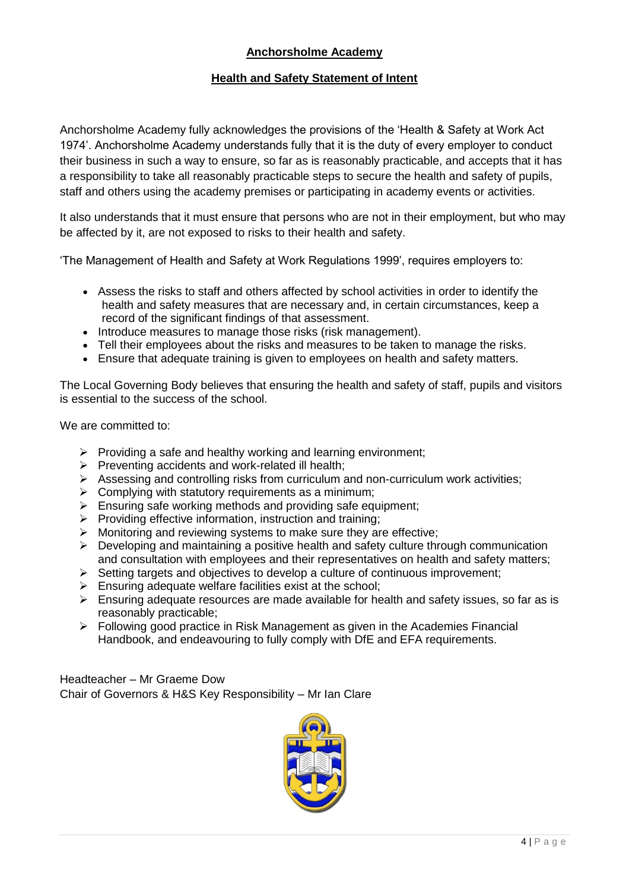## **Anchorsholme Academy**

## **Health and Safety Statement of Intent**

Anchorsholme Academy fully acknowledges the provisions of the 'Health & Safety at Work Act 1974'. Anchorsholme Academy understands fully that it is the duty of every employer to conduct their business in such a way to ensure, so far as is reasonably practicable, and accepts that it has a responsibility to take all reasonably practicable steps to secure the health and safety of pupils, staff and others using the academy premises or participating in academy events or activities.

It also understands that it must ensure that persons who are not in their employment, but who may be affected by it, are not exposed to risks to their health and safety.

'The Management of Health and Safety at Work Regulations 1999', requires employers to:

- Assess the risks to staff and others affected by school activities in order to identify the health and safety measures that are necessary and, in certain circumstances, keep a record of the significant findings of that assessment.
- Introduce measures to manage those risks (risk management).
- Tell their employees about the risks and measures to be taken to manage the risks.
- Ensure that adequate training is given to employees on health and safety matters.

The Local Governing Body believes that ensuring the health and safety of staff, pupils and visitors is essential to the success of the school.

We are committed to:

- ➢ Providing a safe and healthy working and learning environment;
- ➢ Preventing accidents and work-related ill health;
- $\triangleright$  Assessing and controlling risks from curriculum and non-curriculum work activities;
- $\triangleright$  Complying with statutory requirements as a minimum;
- ➢ Ensuring safe working methods and providing safe equipment;
- ➢ Providing effective information, instruction and training;
- ➢ Monitoring and reviewing systems to make sure they are effective;
- $\triangleright$  Developing and maintaining a positive health and safety culture through communication and consultation with employees and their representatives on health and safety matters;
- ➢ Setting targets and objectives to develop a culture of continuous improvement;
- $\triangleright$  Ensuring adequate welfare facilities exist at the school;
- $\triangleright$  Ensuring adequate resources are made available for health and safety issues, so far as is reasonably practicable;
- ➢ Following good practice in Risk Management as given in the Academies Financial Handbook, and endeavouring to fully comply with DfE and EFA requirements.

Headteacher – Mr Graeme Dow Chair of Governors & H&S Key Responsibility – Mr Ian Clare

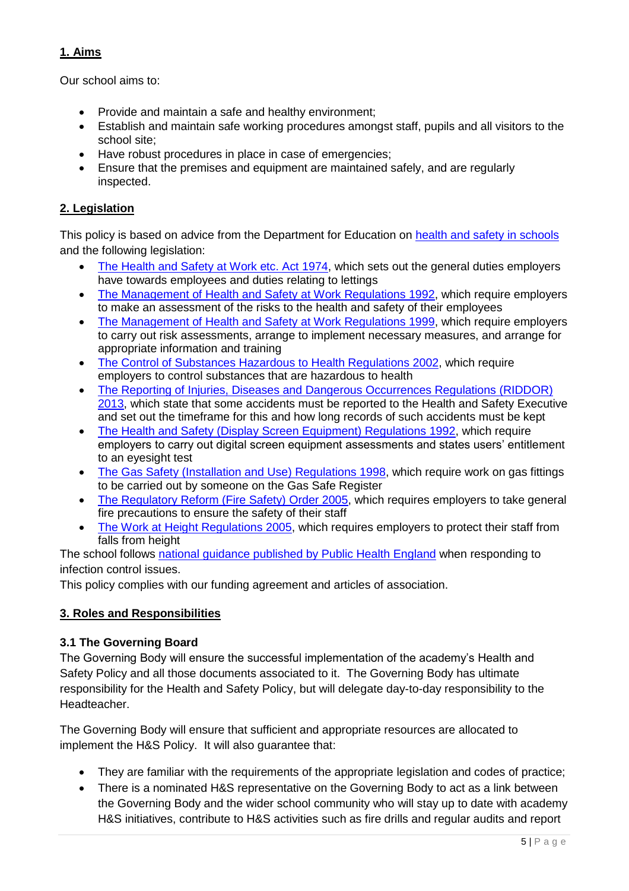## **1. Aims**

Our school aims to:

- Provide and maintain a safe and healthy environment;
- Establish and maintain safe working procedures amongst staff, pupils and all visitors to the school site;
- Have robust procedures in place in case of emergencies;
- Ensure that the premises and equipment are maintained safely, and are regularly inspected.

## **2. Legislation**

This policy is based on advice from the Department for Education on [health and safety in schools](https://www.gov.uk/government/publications/health-and-safety-advice-for-schools) and the following legislation:

- [The Health and Safety at Work etc. Act 1974,](http://www.legislation.gov.uk/ukpga/1974/37) which sets out the general duties employers have towards employees and duties relating to lettings
- [The Management of Health and Safety at Work Regulations 1992,](http://www.legislation.gov.uk/uksi/1992/2051/regulation/3/made) which require employers to make an assessment of the risks to the health and safety of their employees
- [The Management of Health and Safety at Work Regulations 1999,](http://www.legislation.gov.uk/uksi/1999/3242/contents/made) which require employers to carry out risk assessments, arrange to implement necessary measures, and arrange for appropriate information and training
- [The Control of Substances Hazardous to Health Regulations 2002,](http://www.legislation.gov.uk/uksi/2002/2677/contents/made) which require employers to control substances that are hazardous to health
- [The Reporting of Injuries, Diseases and Dangerous Occurrences Regulations \(RIDDOR\)](http://www.legislation.gov.uk/uksi/2013/1471/schedule/1/paragraph/1/made)  [2013,](http://www.legislation.gov.uk/uksi/2013/1471/schedule/1/paragraph/1/made) which state that some accidents must be reported to the Health and Safety Executive and set out the timeframe for this and how long records of such accidents must be kept
- [The Health and Safety \(Display Screen Equipment\) Regulations 1992,](http://www.legislation.gov.uk/uksi/1992/2792/contents/made) which require employers to carry out digital screen equipment assessments and states users' entitlement to an eyesight test
- [The Gas Safety \(Installation and Use\) Regulations 1998,](http://www.legislation.gov.uk/uksi/1998/2451/regulation/4/made) which require work on gas fittings to be carried out by someone on the Gas Safe Register
- [The Regulatory Reform \(Fire Safety\) Order 2005,](http://www.legislation.gov.uk/uksi/2005/1541/part/2/made) which requires employers to take general fire precautions to ensure the safety of their staff
- [The Work at Height Regulations 2005,](http://www.legislation.gov.uk/uksi/2005/735/contents/made) which requires employers to protect their staff from falls from height

The school follows [national guidance published by Public Health England](https://www.gov.uk/government/uploads/system/uploads/attachment_data/file/522337/Guidance_on_infection_control_in_schools.pdf) when responding to infection control issues.

This policy complies with our funding agreement and articles of association.

## **3. Roles and Responsibilities**

## **3.1 The Governing Board**

The Governing Body will ensure the successful implementation of the academy's Health and Safety Policy and all those documents associated to it. The Governing Body has ultimate responsibility for the Health and Safety Policy, but will delegate day-to-day responsibility to the Headteacher.

The Governing Body will ensure that sufficient and appropriate resources are allocated to implement the H&S Policy. It will also guarantee that:

- They are familiar with the requirements of the appropriate legislation and codes of practice;
- There is a nominated H&S representative on the Governing Body to act as a link between the Governing Body and the wider school community who will stay up to date with academy H&S initiatives, contribute to H&S activities such as fire drills and regular audits and report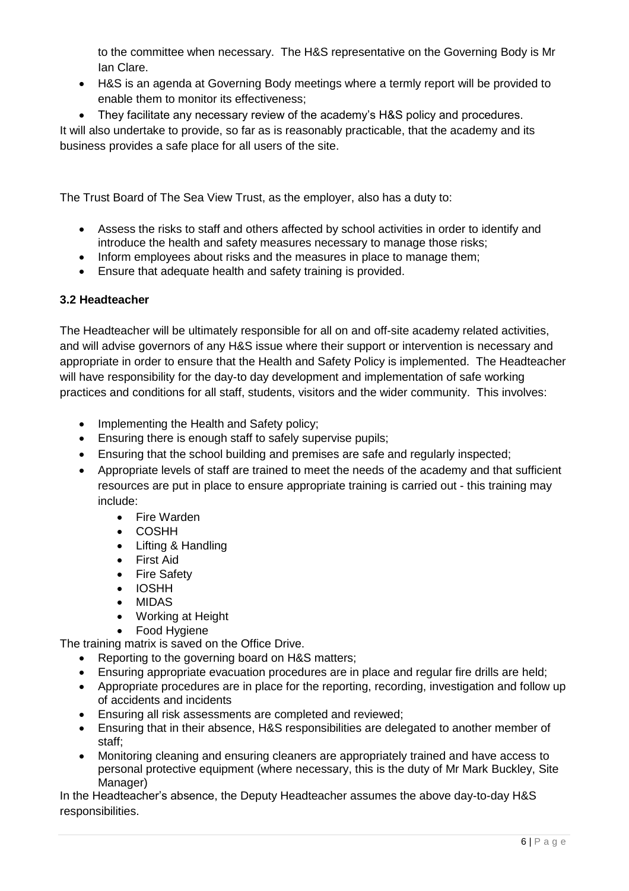to the committee when necessary. The H&S representative on the Governing Body is Mr Ian Clare.

- H&S is an agenda at Governing Body meetings where a termly report will be provided to enable them to monitor its effectiveness;
- They facilitate any necessary review of the academy's H&S policy and procedures.

It will also undertake to provide, so far as is reasonably practicable, that the academy and its business provides a safe place for all users of the site.

The Trust Board of The Sea View Trust, as the employer, also has a duty to:

- Assess the risks to staff and others affected by school activities in order to identify and introduce the health and safety measures necessary to manage those risks;
- Inform employees about risks and the measures in place to manage them;
- Ensure that adequate health and safety training is provided.

## **3.2 Headteacher**

The Headteacher will be ultimately responsible for all on and off-site academy related activities, and will advise governors of any H&S issue where their support or intervention is necessary and appropriate in order to ensure that the Health and Safety Policy is implemented. The Headteacher will have responsibility for the day-to day development and implementation of safe working practices and conditions for all staff, students, visitors and the wider community. This involves:

- Implementing the Health and Safety policy:
- Ensuring there is enough staff to safely supervise pupils;
- Ensuring that the school building and premises are safe and regularly inspected;
- Appropriate levels of staff are trained to meet the needs of the academy and that sufficient resources are put in place to ensure appropriate training is carried out - this training may include:
	- Fire Warden
	- COSHH
	- Lifting & Handling
	- First Aid
	- Fire Safety
	- IOSHH
	- MIDAS
	- Working at Height
	- Food Hygiene

The training matrix is saved on the Office Drive.

- Reporting to the governing board on H&S matters;
- Ensuring appropriate evacuation procedures are in place and regular fire drills are held;
- Appropriate procedures are in place for the reporting, recording, investigation and follow up of accidents and incidents
- Ensuring all risk assessments are completed and reviewed;
- Ensuring that in their absence, H&S responsibilities are delegated to another member of staff;
- Monitoring cleaning and ensuring cleaners are appropriately trained and have access to personal protective equipment (where necessary, this is the duty of Mr Mark Buckley, Site Manager)

In the Headteacher's absence, the Deputy Headteacher assumes the above day-to-day H&S responsibilities.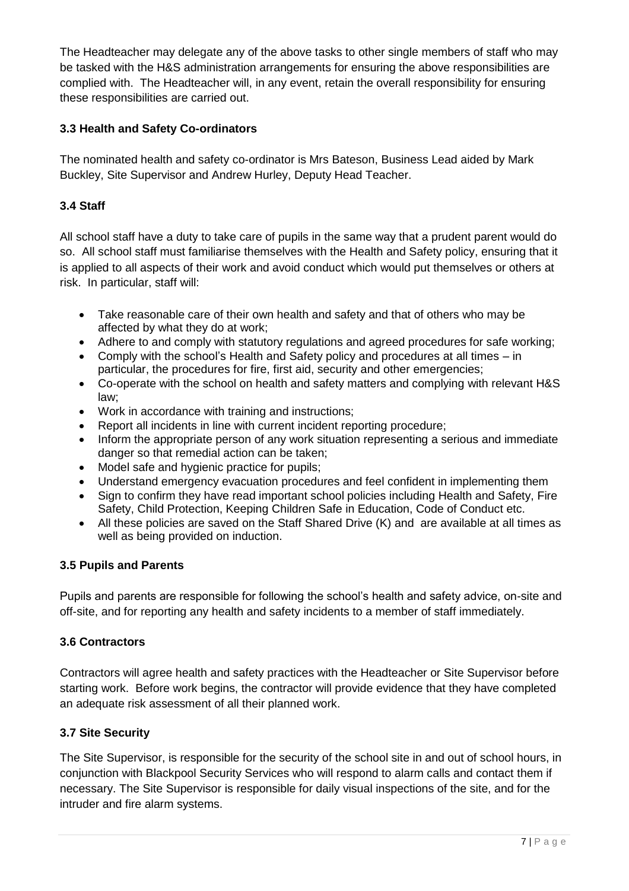The Headteacher may delegate any of the above tasks to other single members of staff who may be tasked with the H&S administration arrangements for ensuring the above responsibilities are complied with. The Headteacher will, in any event, retain the overall responsibility for ensuring these responsibilities are carried out.

## **3.3 Health and Safety Co-ordinators**

The nominated health and safety co-ordinator is Mrs Bateson, Business Lead aided by Mark Buckley, Site Supervisor and Andrew Hurley, Deputy Head Teacher.

## **3.4 Staff**

All school staff have a duty to take care of pupils in the same way that a prudent parent would do so. All school staff must familiarise themselves with the Health and Safety policy, ensuring that it is applied to all aspects of their work and avoid conduct which would put themselves or others at risk. In particular, staff will:

- Take reasonable care of their own health and safety and that of others who may be affected by what they do at work;
- Adhere to and comply with statutory regulations and agreed procedures for safe working;
- Comply with the school's Health and Safety policy and procedures at all times in particular, the procedures for fire, first aid, security and other emergencies;
- Co-operate with the school on health and safety matters and complying with relevant H&S law;
- Work in accordance with training and instructions;
- Report all incidents in line with current incident reporting procedure;
- Inform the appropriate person of any work situation representing a serious and immediate danger so that remedial action can be taken;
- Model safe and hygienic practice for pupils;
- Understand emergency evacuation procedures and feel confident in implementing them
- Sign to confirm they have read important school policies including Health and Safety, Fire Safety, Child Protection, Keeping Children Safe in Education, Code of Conduct etc.
- All these policies are saved on the Staff Shared Drive (K) and are available at all times as well as being provided on induction.

## **3.5 Pupils and Parents**

Pupils and parents are responsible for following the school's health and safety advice, on-site and off-site, and for reporting any health and safety incidents to a member of staff immediately.

## **3.6 Contractors**

Contractors will agree health and safety practices with the Headteacher or Site Supervisor before starting work. Before work begins, the contractor will provide evidence that they have completed an adequate risk assessment of all their planned work.

## **3.7 Site Security**

The Site Supervisor, is responsible for the security of the school site in and out of school hours, in conjunction with Blackpool Security Services who will respond to alarm calls and contact them if necessary. The Site Supervisor is responsible for daily visual inspections of the site, and for the intruder and fire alarm systems.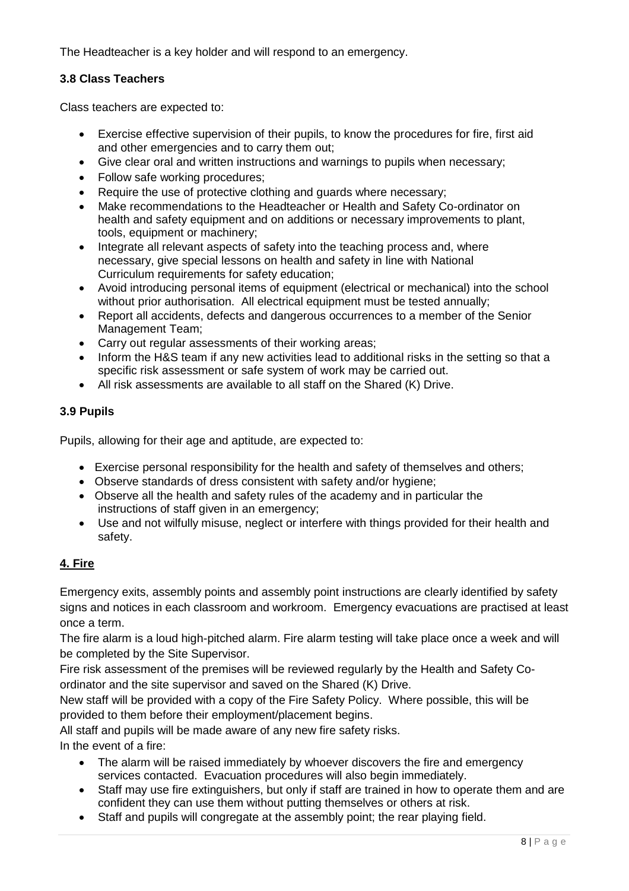The Headteacher is a key holder and will respond to an emergency.

#### **3.8 Class Teachers**

Class teachers are expected to:

- Exercise effective supervision of their pupils, to know the procedures for fire, first aid and other emergencies and to carry them out;
- Give clear oral and written instructions and warnings to pupils when necessary;
- Follow safe working procedures;
- Require the use of protective clothing and guards where necessary;
- Make recommendations to the Headteacher or Health and Safety Co-ordinator on health and safety equipment and on additions or necessary improvements to plant, tools, equipment or machinery;
- Integrate all relevant aspects of safety into the teaching process and, where necessary, give special lessons on health and safety in line with National Curriculum requirements for safety education;
- Avoid introducing personal items of equipment (electrical or mechanical) into the school without prior authorisation. All electrical equipment must be tested annually;
- Report all accidents, defects and dangerous occurrences to a member of the Senior Management Team;
- Carry out regular assessments of their working areas;
- Inform the H&S team if any new activities lead to additional risks in the setting so that a specific risk assessment or safe system of work may be carried out.
- All risk assessments are available to all staff on the Shared (K) Drive.

#### **3.9 Pupils**

Pupils, allowing for their age and aptitude, are expected to:

- Exercise personal responsibility for the health and safety of themselves and others;
- Observe standards of dress consistent with safety and/or hygiene;
- Observe all the health and safety rules of the academy and in particular the instructions of staff given in an emergency;
- Use and not wilfully misuse, neglect or interfere with things provided for their health and safety.

## **4. Fire**

Emergency exits, assembly points and assembly point instructions are clearly identified by safety signs and notices in each classroom and workroom. Emergency evacuations are practised at least once a term.

The fire alarm is a loud high-pitched alarm. Fire alarm testing will take place once a week and will be completed by the Site Supervisor.

Fire risk assessment of the premises will be reviewed regularly by the Health and Safety Coordinator and the site supervisor and saved on the Shared (K) Drive.

New staff will be provided with a copy of the Fire Safety Policy. Where possible, this will be provided to them before their employment/placement begins.

All staff and pupils will be made aware of any new fire safety risks. In the event of a fire:

- The alarm will be raised immediately by whoever discovers the fire and emergency services contacted. Evacuation procedures will also begin immediately.
- Staff may use fire extinguishers, but only if staff are trained in how to operate them and are confident they can use them without putting themselves or others at risk.
- Staff and pupils will congregate at the assembly point; the rear playing field.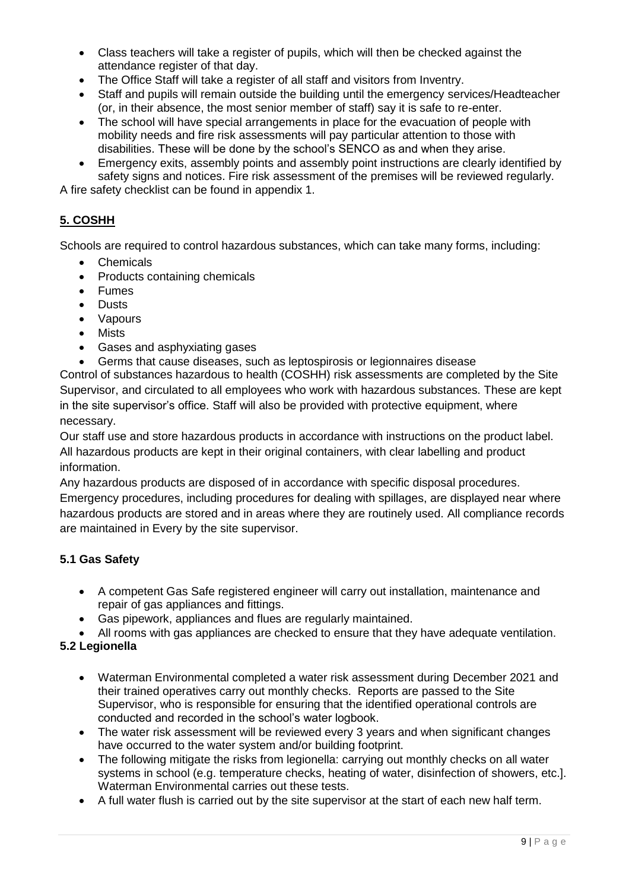- Class teachers will take a register of pupils, which will then be checked against the attendance register of that day.
- The Office Staff will take a register of all staff and visitors from Inventry.
- Staff and pupils will remain outside the building until the emergency services/Headteacher (or, in their absence, the most senior member of staff) say it is safe to re-enter.
- The school will have special arrangements in place for the evacuation of people with mobility needs and fire risk assessments will pay particular attention to those with disabilities. These will be done by the school's SENCO as and when they arise.
- Emergency exits, assembly points and assembly point instructions are clearly identified by safety signs and notices. Fire risk assessment of the premises will be reviewed regularly.

A fire safety checklist can be found in appendix 1.

## **5. COSHH**

Schools are required to control hazardous substances, which can take many forms, including:

- Chemicals
- Products containing chemicals
- Fumes
- Dusts
- Vapours
- Mists
- Gases and asphyxiating gases
- Germs that cause diseases, such as leptospirosis or legionnaires disease

Control of substances hazardous to health (COSHH) risk assessments are completed by the Site Supervisor, and circulated to all employees who work with hazardous substances. These are kept in the site supervisor's office. Staff will also be provided with protective equipment, where necessary.

Our staff use and store hazardous products in accordance with instructions on the product label. All hazardous products are kept in their original containers, with clear labelling and product information.

Any hazardous products are disposed of in accordance with specific disposal procedures. Emergency procedures, including procedures for dealing with spillages, are displayed near where hazardous products are stored and in areas where they are routinely used. All compliance records are maintained in Every by the site supervisor.

## **5.1 Gas Safety**

- A competent Gas Safe registered engineer will carry out installation, maintenance and repair of gas appliances and fittings.
- Gas pipework, appliances and flues are regularly maintained.
- All rooms with gas appliances are checked to ensure that they have adequate ventilation.

## **5.2 Legionella**

- Waterman Environmental completed a water risk assessment during December 2021 and their trained operatives carry out monthly checks. Reports are passed to the Site Supervisor, who is responsible for ensuring that the identified operational controls are conducted and recorded in the school's water logbook.
- The water risk assessment will be reviewed every 3 years and when significant changes have occurred to the water system and/or building footprint.
- The following mitigate the risks from legionella: carrying out monthly checks on all water systems in school (e.g. temperature checks, heating of water, disinfection of showers, etc.]. Waterman Environmental carries out these tests.
- A full water flush is carried out by the site supervisor at the start of each new half term.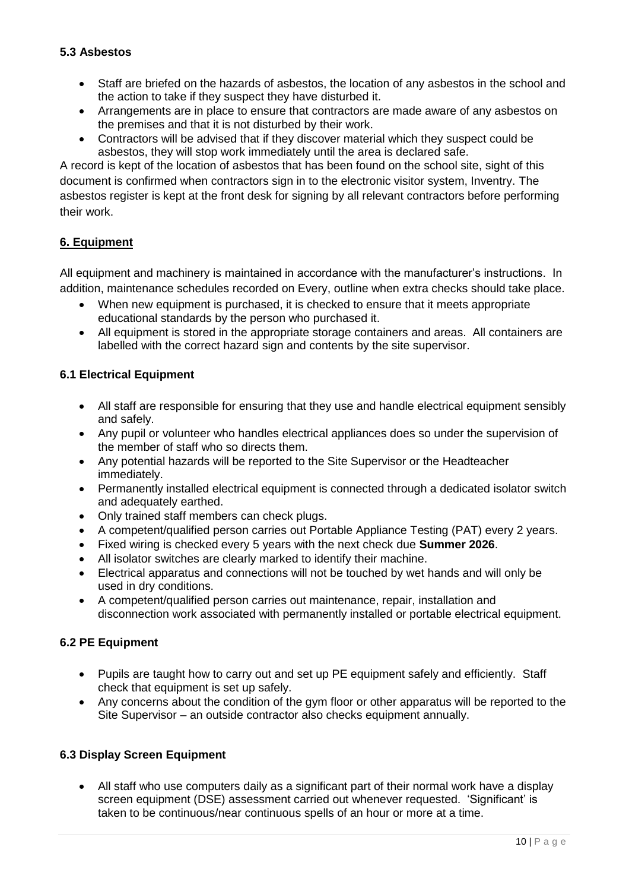## **5.3 Asbestos**

- Staff are briefed on the hazards of asbestos, the location of any asbestos in the school and the action to take if they suspect they have disturbed it.
- Arrangements are in place to ensure that contractors are made aware of any asbestos on the premises and that it is not disturbed by their work.
- Contractors will be advised that if they discover material which they suspect could be asbestos, they will stop work immediately until the area is declared safe.

A record is kept of the location of asbestos that has been found on the school site, sight of this document is confirmed when contractors sign in to the electronic visitor system, Inventry. The asbestos register is kept at the front desk for signing by all relevant contractors before performing their work.

#### **6. Equipment**

All equipment and machinery is maintained in accordance with the manufacturer's instructions. In addition, maintenance schedules recorded on Every, outline when extra checks should take place.

- When new equipment is purchased, it is checked to ensure that it meets appropriate educational standards by the person who purchased it.
- All equipment is stored in the appropriate storage containers and areas. All containers are labelled with the correct hazard sign and contents by the site supervisor.

#### **6.1 Electrical Equipment**

- All staff are responsible for ensuring that they use and handle electrical equipment sensibly and safely.
- Any pupil or volunteer who handles electrical appliances does so under the supervision of the member of staff who so directs them.
- Any potential hazards will be reported to the Site Supervisor or the Headteacher immediately.
- Permanently installed electrical equipment is connected through a dedicated isolator switch and adequately earthed.
- Only trained staff members can check plugs.
- A competent/qualified person carries out Portable Appliance Testing (PAT) every 2 years.
- Fixed wiring is checked every 5 years with the next check due **Summer 2026**.
- All isolator switches are clearly marked to identify their machine.
- Electrical apparatus and connections will not be touched by wet hands and will only be used in dry conditions.
- A competent/qualified person carries out maintenance, repair, installation and disconnection work associated with permanently installed or portable electrical equipment.

#### **6.2 PE Equipment**

- Pupils are taught how to carry out and set up PE equipment safely and efficiently. Staff check that equipment is set up safely.
- Any concerns about the condition of the gym floor or other apparatus will be reported to the Site Supervisor – an outside contractor also checks equipment annually.

## **6.3 Display Screen Equipment**

• All staff who use computers daily as a significant part of their normal work have a display screen equipment (DSE) assessment carried out whenever requested. 'Significant' is taken to be continuous/near continuous spells of an hour or more at a time.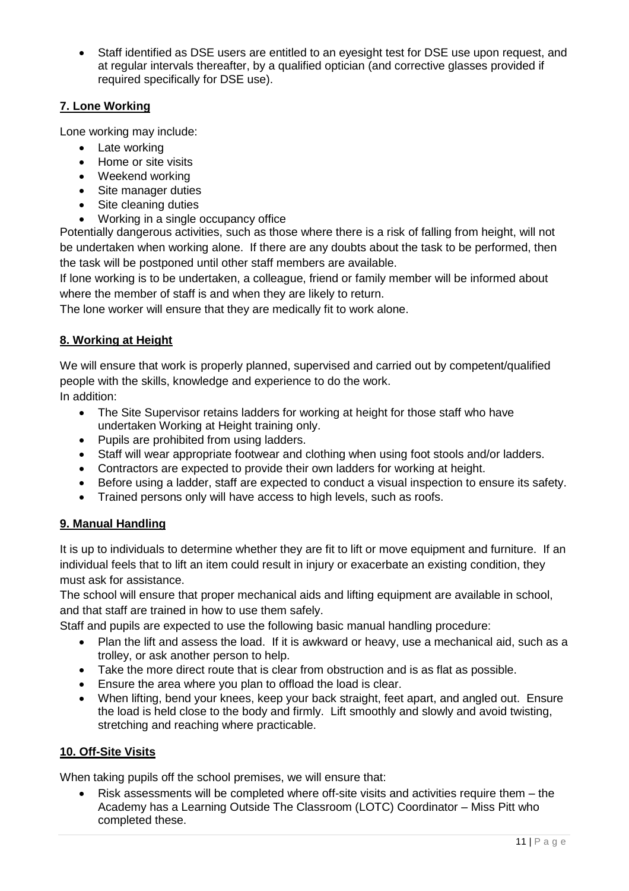• Staff identified as DSE users are entitled to an eyesight test for DSE use upon request, and at regular intervals thereafter, by a qualified optician (and corrective glasses provided if required specifically for DSE use).

## **7. Lone Working**

Lone working may include:

- Late working
- Home or site visits
- Weekend working
- Site manager duties
- Site cleaning duties
- Working in a single occupancy office

Potentially dangerous activities, such as those where there is a risk of falling from height, will not be undertaken when working alone. If there are any doubts about the task to be performed, then the task will be postponed until other staff members are available.

If lone working is to be undertaken, a colleague, friend or family member will be informed about where the member of staff is and when they are likely to return.

The lone worker will ensure that they are medically fit to work alone.

## **8. Working at Height**

We will ensure that work is properly planned, supervised and carried out by competent/qualified people with the skills, knowledge and experience to do the work.

In addition:

- The Site Supervisor retains ladders for working at height for those staff who have undertaken Working at Height training only.
- Pupils are prohibited from using ladders.
- Staff will wear appropriate footwear and clothing when using foot stools and/or ladders.
- Contractors are expected to provide their own ladders for working at height.
- Before using a ladder, staff are expected to conduct a visual inspection to ensure its safety.
- Trained persons only will have access to high levels, such as roofs.

## **9. Manual Handling**

It is up to individuals to determine whether they are fit to lift or move equipment and furniture. If an individual feels that to lift an item could result in injury or exacerbate an existing condition, they must ask for assistance.

The school will ensure that proper mechanical aids and lifting equipment are available in school, and that staff are trained in how to use them safely.

Staff and pupils are expected to use the following basic manual handling procedure:

- Plan the lift and assess the load. If it is awkward or heavy, use a mechanical aid, such as a trolley, or ask another person to help.
- Take the more direct route that is clear from obstruction and is as flat as possible.
- Ensure the area where you plan to offload the load is clear.
- When lifting, bend your knees, keep your back straight, feet apart, and angled out. Ensure the load is held close to the body and firmly. Lift smoothly and slowly and avoid twisting, stretching and reaching where practicable.

## **10. Off-Site Visits**

When taking pupils off the school premises, we will ensure that:

• Risk assessments will be completed where off-site visits and activities require them – the Academy has a Learning Outside The Classroom (LOTC) Coordinator – Miss Pitt who completed these.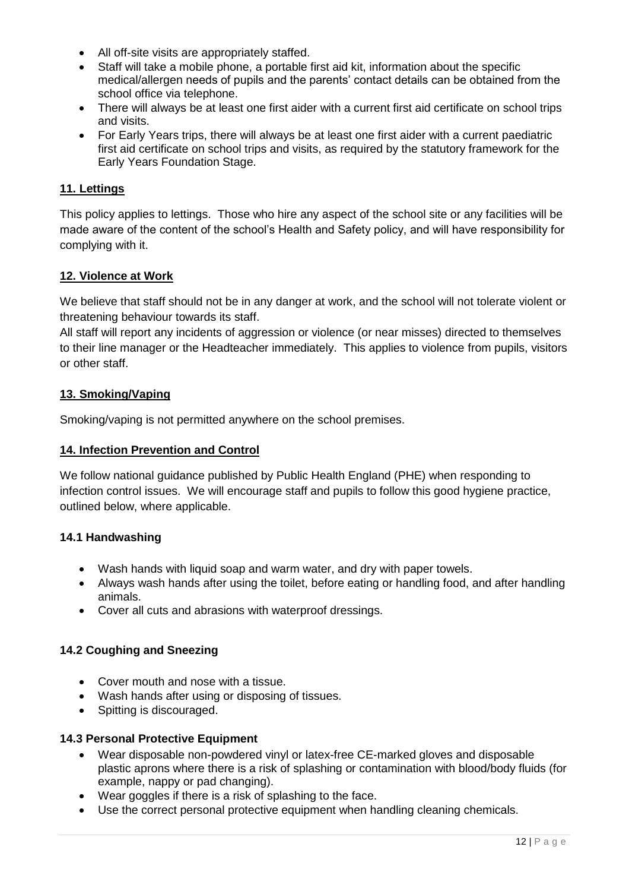- All off-site visits are appropriately staffed.
- Staff will take a mobile phone, a portable first aid kit, information about the specific medical/allergen needs of pupils and the parents' contact details can be obtained from the school office via telephone.
- There will always be at least one first aider with a current first aid certificate on school trips and visits.
- For Early Years trips, there will always be at least one first aider with a current paediatric first aid certificate on school trips and visits, as required by the statutory framework for the Early Years Foundation Stage.

## **11. Lettings**

This policy applies to lettings. Those who hire any aspect of the school site or any facilities will be made aware of the content of the school's Health and Safety policy, and will have responsibility for complying with it.

#### **12. Violence at Work**

We believe that staff should not be in any danger at work, and the school will not tolerate violent or threatening behaviour towards its staff.

All staff will report any incidents of aggression or violence (or near misses) directed to themselves to their line manager or the Headteacher immediately. This applies to violence from pupils, visitors or other staff.

#### **13. Smoking/Vaping**

Smoking/vaping is not permitted anywhere on the school premises.

#### **14. Infection Prevention and Control**

We follow national guidance published by Public Health England (PHE) when responding to infection control issues. We will encourage staff and pupils to follow this good hygiene practice, outlined below, where applicable.

#### **14.1 Handwashing**

- Wash hands with liquid soap and warm water, and dry with paper towels.
- Always wash hands after using the toilet, before eating or handling food, and after handling animals.
- Cover all cuts and abrasions with waterproof dressings.

#### **14.2 Coughing and Sneezing**

- Cover mouth and nose with a tissue.
- Wash hands after using or disposing of tissues.
- Spitting is discouraged.

#### **14.3 Personal Protective Equipment**

- Wear disposable non-powdered vinyl or latex-free CE-marked gloves and disposable plastic aprons where there is a risk of splashing or contamination with blood/body fluids (for example, nappy or pad changing).
- Wear goggles if there is a risk of splashing to the face.
- Use the correct personal protective equipment when handling cleaning chemicals.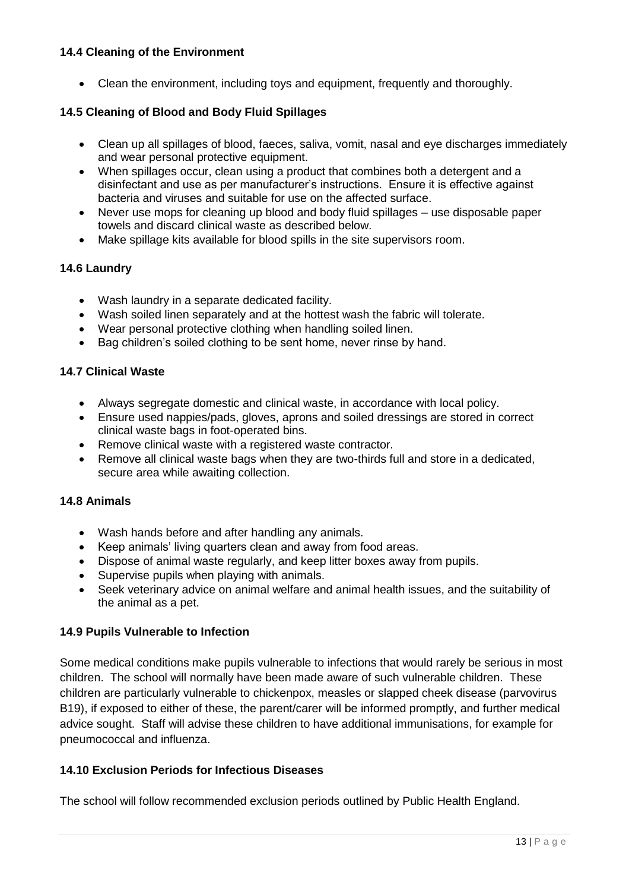#### **14.4 Cleaning of the Environment**

• Clean the environment, including toys and equipment, frequently and thoroughly.

#### **14.5 Cleaning of Blood and Body Fluid Spillages**

- Clean up all spillages of blood, faeces, saliva, vomit, nasal and eye discharges immediately and wear personal protective equipment.
- When spillages occur, clean using a product that combines both a detergent and a disinfectant and use as per manufacturer's instructions. Ensure it is effective against bacteria and viruses and suitable for use on the affected surface.
- Never use mops for cleaning up blood and body fluid spillages use disposable paper towels and discard clinical waste as described below.
- Make spillage kits available for blood spills in the site supervisors room.

#### **14.6 Laundry**

- Wash laundry in a separate dedicated facility.
- Wash soiled linen separately and at the hottest wash the fabric will tolerate.
- Wear personal protective clothing when handling soiled linen.
- Bag children's soiled clothing to be sent home, never rinse by hand.

#### **14.7 Clinical Waste**

- Always segregate domestic and clinical waste, in accordance with local policy.
- Ensure used nappies/pads, gloves, aprons and soiled dressings are stored in correct clinical waste bags in foot-operated bins.
- Remove clinical waste with a registered waste contractor.
- Remove all clinical waste bags when they are two-thirds full and store in a dedicated, secure area while awaiting collection.

#### **14.8 Animals**

- Wash hands before and after handling any animals.
- Keep animals' living quarters clean and away from food areas.
- Dispose of animal waste regularly, and keep litter boxes away from pupils.
- Supervise pupils when playing with animals.
- Seek veterinary advice on animal welfare and animal health issues, and the suitability of the animal as a pet.

#### **14.9 Pupils Vulnerable to Infection**

Some medical conditions make pupils vulnerable to infections that would rarely be serious in most children. The school will normally have been made aware of such vulnerable children. These children are particularly vulnerable to chickenpox, measles or slapped cheek disease (parvovirus B19), if exposed to either of these, the parent/carer will be informed promptly, and further medical advice sought. Staff will advise these children to have additional immunisations, for example for pneumococcal and influenza.

#### **14.10 Exclusion Periods for Infectious Diseases**

The school will follow recommended exclusion periods outlined by Public Health England.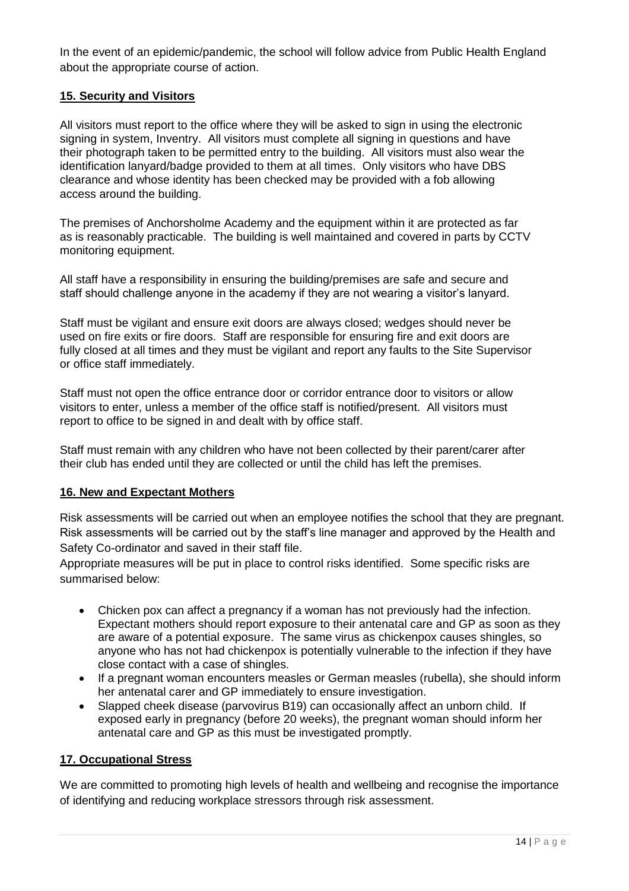In the event of an epidemic/pandemic, the school will follow advice from Public Health England about the appropriate course of action.

## **15. Security and Visitors**

All visitors must report to the office where they will be asked to sign in using the electronic signing in system, Inventry. All visitors must complete all signing in questions and have their photograph taken to be permitted entry to the building. All visitors must also wear the identification lanyard/badge provided to them at all times. Only visitors who have DBS clearance and whose identity has been checked may be provided with a fob allowing access around the building.

The premises of Anchorsholme Academy and the equipment within it are protected as far as is reasonably practicable. The building is well maintained and covered in parts by CCTV monitoring equipment.

All staff have a responsibility in ensuring the building/premises are safe and secure and staff should challenge anyone in the academy if they are not wearing a visitor's lanyard.

Staff must be vigilant and ensure exit doors are always closed; wedges should never be used on fire exits or fire doors. Staff are responsible for ensuring fire and exit doors are fully closed at all times and they must be vigilant and report any faults to the Site Supervisor or office staff immediately.

Staff must not open the office entrance door or corridor entrance door to visitors or allow visitors to enter, unless a member of the office staff is notified/present. All visitors must report to office to be signed in and dealt with by office staff.

Staff must remain with any children who have not been collected by their parent/carer after their club has ended until they are collected or until the child has left the premises.

#### **16. New and Expectant Mothers**

Risk assessments will be carried out when an employee notifies the school that they are pregnant. Risk assessments will be carried out by the staff's line manager and approved by the Health and Safety Co-ordinator and saved in their staff file.

Appropriate measures will be put in place to control risks identified. Some specific risks are summarised below:

- Chicken pox can affect a pregnancy if a woman has not previously had the infection. Expectant mothers should report exposure to their antenatal care and GP as soon as they are aware of a potential exposure. The same virus as chickenpox causes shingles, so anyone who has not had chickenpox is potentially vulnerable to the infection if they have close contact with a case of shingles.
- If a pregnant woman encounters measles or German measles (rubella), she should inform her antenatal carer and GP immediately to ensure investigation.
- Slapped cheek disease (parvovirus B19) can occasionally affect an unborn child. If exposed early in pregnancy (before 20 weeks), the pregnant woman should inform her antenatal care and GP as this must be investigated promptly.

#### **17. Occupational Stress**

We are committed to promoting high levels of health and wellbeing and recognise the importance of identifying and reducing workplace stressors through risk assessment.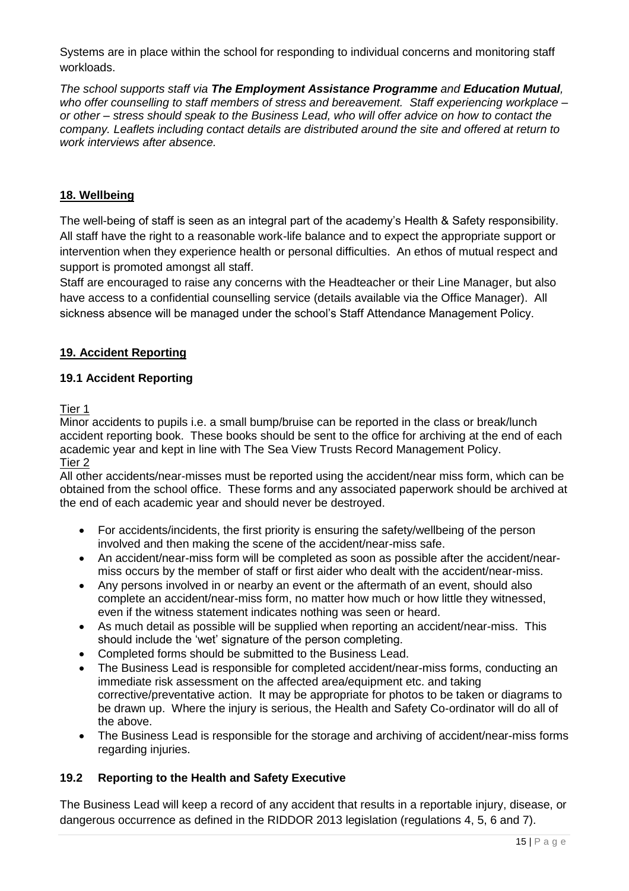Systems are in place within the school for responding to individual concerns and monitoring staff workloads.

*The school supports staff via The Employment Assistance Programme and Education Mutual, who offer counselling to staff members of stress and bereavement. Staff experiencing workplace – or other – stress should speak to the Business Lead, who will offer advice on how to contact the company. Leaflets including contact details are distributed around the site and offered at return to work interviews after absence.*

## **18. Wellbeing**

The well-being of staff is seen as an integral part of the academy's Health & Safety responsibility. All staff have the right to a reasonable work-life balance and to expect the appropriate support or intervention when they experience health or personal difficulties. An ethos of mutual respect and support is promoted amongst all staff.

Staff are encouraged to raise any concerns with the Headteacher or their Line Manager, but also have access to a confidential counselling service (details available via the Office Manager). All sickness absence will be managed under the school's Staff Attendance Management Policy.

#### **19. Accident Reporting**

#### **19.1 Accident Reporting**

Tier 1

Minor accidents to pupils i.e. a small bump/bruise can be reported in the class or break/lunch accident reporting book. These books should be sent to the office for archiving at the end of each academic year and kept in line with The Sea View Trusts Record Management Policy. Tier 2

All other accidents/near-misses must be reported using the accident/near miss form, which can be obtained from the school office. These forms and any associated paperwork should be archived at the end of each academic year and should never be destroyed.

- For accidents/incidents, the first priority is ensuring the safety/wellbeing of the person involved and then making the scene of the accident/near-miss safe.
- An accident/near-miss form will be completed as soon as possible after the accident/nearmiss occurs by the member of staff or first aider who dealt with the accident/near-miss.
- Any persons involved in or nearby an event or the aftermath of an event, should also complete an accident/near-miss form, no matter how much or how little they witnessed, even if the witness statement indicates nothing was seen or heard.
- As much detail as possible will be supplied when reporting an accident/near-miss. This should include the 'wet' signature of the person completing.
- Completed forms should be submitted to the Business Lead.
- The Business Lead is responsible for completed accident/near-miss forms, conducting an immediate risk assessment on the affected area/equipment etc. and taking corrective/preventative action. It may be appropriate for photos to be taken or diagrams to be drawn up. Where the injury is serious, the Health and Safety Co-ordinator will do all of the above.
- The Business Lead is responsible for the storage and archiving of accident/near-miss forms regarding injuries.

#### **19.2 Reporting to the Health and Safety Executive**

The Business Lead will keep a record of any accident that results in a reportable injury, disease, or dangerous occurrence as defined in the RIDDOR 2013 legislation (regulations 4, 5, 6 and 7).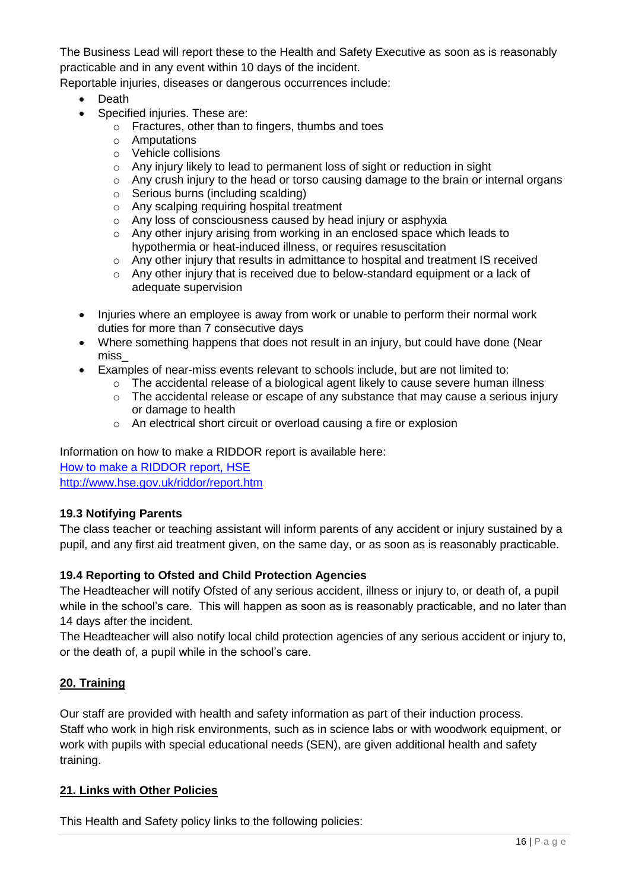The Business Lead will report these to the Health and Safety Executive as soon as is reasonably practicable and in any event within 10 days of the incident.

Reportable injuries, diseases or dangerous occurrences include:

- Death
- Specified injuries. These are:
	- o Fractures, other than to fingers, thumbs and toes
	- o Amputations
	- o Vehicle collisions
	- o Any injury likely to lead to permanent loss of sight or reduction in sight
	- o Any crush injury to the head or torso causing damage to the brain or internal organs
	- o Serious burns (including scalding)
	- o Any scalping requiring hospital treatment
	- o Any loss of consciousness caused by head injury or asphyxia
	- $\circ$  Any other injury arising from working in an enclosed space which leads to hypothermia or heat-induced illness, or requires resuscitation
	- o Any other injury that results in admittance to hospital and treatment IS received
	- $\circ$  Any other injury that is received due to below-standard equipment or a lack of adequate supervision
- Injuries where an employee is away from work or unable to perform their normal work duties for more than 7 consecutive days
- Where something happens that does not result in an injury, but could have done (Near miss\_
- Examples of near-miss events relevant to schools include, but are not limited to:
	- $\circ$  The accidental release of a biological agent likely to cause severe human illness
	- o The accidental release or escape of any substance that may cause a serious injury or damage to health
	- o An electrical short circuit or overload causing a fire or explosion

Information on how to make a RIDDOR report is available here: [How to make a RIDDOR report, HSE](http://www.hse.gov.uk/riddor/report.htm) <http://www.hse.gov.uk/riddor/report.htm>

## **19.3 Notifying Parents**

The class teacher or teaching assistant will inform parents of any accident or injury sustained by a pupil, and any first aid treatment given, on the same day, or as soon as is reasonably practicable.

## **19.4 Reporting to Ofsted and Child Protection Agencies**

The Headteacher will notify Ofsted of any serious accident, illness or injury to, or death of, a pupil while in the school's care. This will happen as soon as is reasonably practicable, and no later than 14 days after the incident.

The Headteacher will also notify local child protection agencies of any serious accident or injury to, or the death of, a pupil while in the school's care.

## **20. Training**

Our staff are provided with health and safety information as part of their induction process. Staff who work in high risk environments, such as in science labs or with woodwork equipment, or work with pupils with special educational needs (SEN), are given additional health and safety training.

#### **21. Links with Other Policies**

This Health and Safety policy links to the following policies: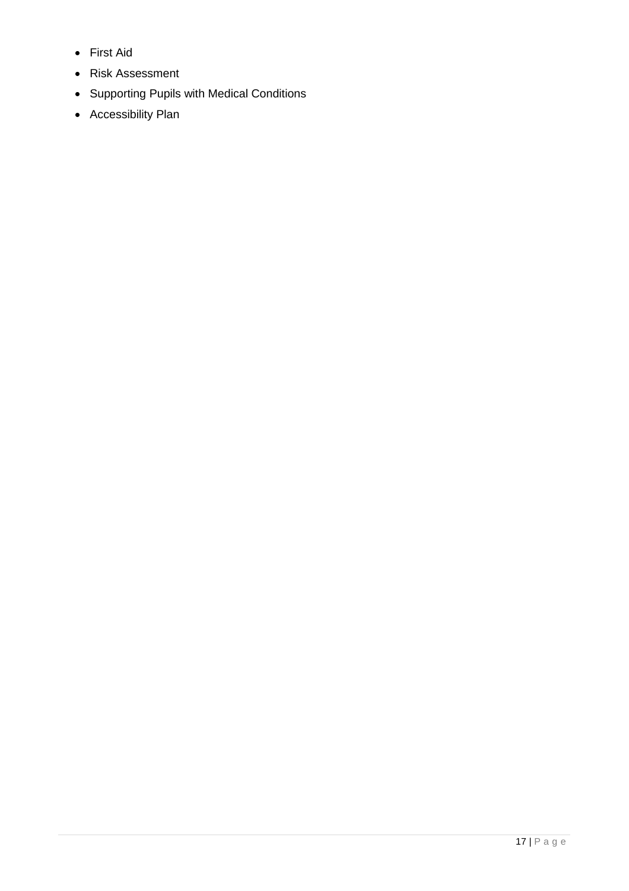- First Aid
- Risk Assessment
- Supporting Pupils with Medical Conditions
- Accessibility Plan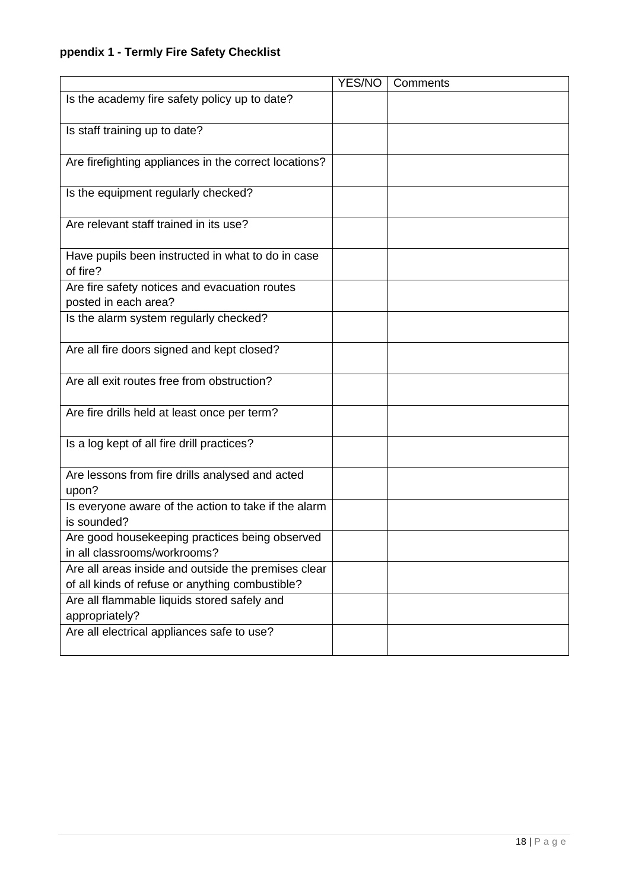# **ppendix 1 - Termly Fire Safety Checklist**

|                                                                                | YES/NO | Comments |
|--------------------------------------------------------------------------------|--------|----------|
| Is the academy fire safety policy up to date?                                  |        |          |
|                                                                                |        |          |
| Is staff training up to date?                                                  |        |          |
| Are firefighting appliances in the correct locations?                          |        |          |
|                                                                                |        |          |
| Is the equipment regularly checked?                                            |        |          |
|                                                                                |        |          |
| Are relevant staff trained in its use?                                         |        |          |
| Have pupils been instructed in what to do in case                              |        |          |
| of fire?                                                                       |        |          |
| Are fire safety notices and evacuation routes                                  |        |          |
| posted in each area?                                                           |        |          |
| Is the alarm system regularly checked?                                         |        |          |
| Are all fire doors signed and kept closed?                                     |        |          |
|                                                                                |        |          |
| Are all exit routes free from obstruction?                                     |        |          |
|                                                                                |        |          |
| Are fire drills held at least once per term?                                   |        |          |
| Is a log kept of all fire drill practices?                                     |        |          |
|                                                                                |        |          |
| Are lessons from fire drills analysed and acted                                |        |          |
| upon?                                                                          |        |          |
| Is everyone aware of the action to take if the alarm                           |        |          |
| is sounded?                                                                    |        |          |
| Are good housekeeping practices being observed<br>in all classrooms/workrooms? |        |          |
| Are all areas inside and outside the premises clear                            |        |          |
| of all kinds of refuse or anything combustible?                                |        |          |
| Are all flammable liquids stored safely and                                    |        |          |
| appropriately?                                                                 |        |          |
| Are all electrical appliances safe to use?                                     |        |          |
|                                                                                |        |          |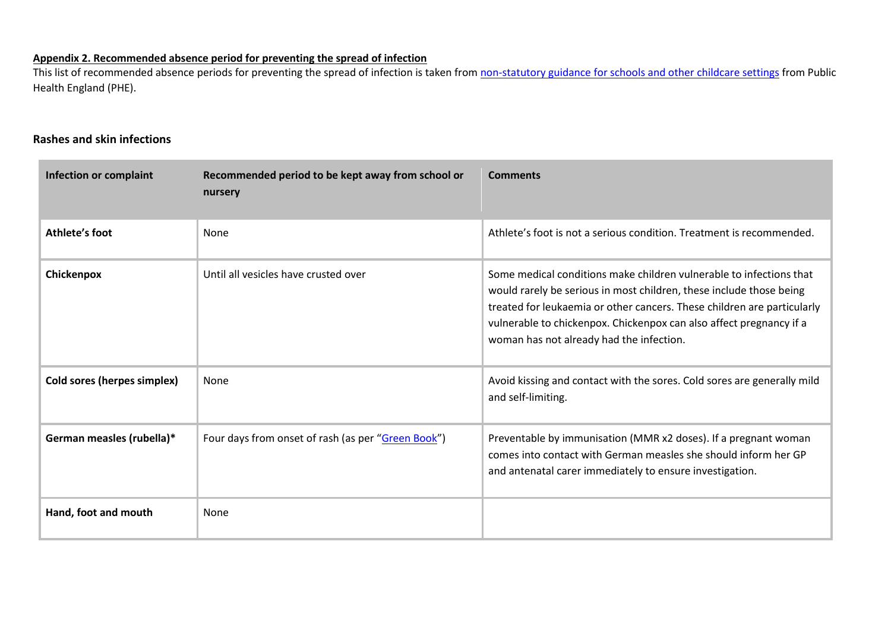#### **Appendix 2. Recommended absence period for preventing the spread of infection**

This list of recommended absence periods for preventing the spread of infection is taken from [non-statutory guidance for schools and other childcare settings](https://www.gov.uk/government/uploads/system/uploads/attachment_data/file/522337/Guidance_on_infection_control_in_schools.pdf) from Public Health England (PHE).

#### **Rashes and skin infections**

| <b>Infection or complaint</b> | Recommended period to be kept away from school or<br>nursery | <b>Comments</b>                                                                                                                                                                                                                                                                                                                          |
|-------------------------------|--------------------------------------------------------------|------------------------------------------------------------------------------------------------------------------------------------------------------------------------------------------------------------------------------------------------------------------------------------------------------------------------------------------|
| Athlete's foot                | None                                                         | Athlete's foot is not a serious condition. Treatment is recommended.                                                                                                                                                                                                                                                                     |
| Chickenpox                    | Until all vesicles have crusted over                         | Some medical conditions make children vulnerable to infections that<br>would rarely be serious in most children, these include those being<br>treated for leukaemia or other cancers. These children are particularly<br>vulnerable to chickenpox. Chickenpox can also affect pregnancy if a<br>woman has not already had the infection. |
| Cold sores (herpes simplex)   | None                                                         | Avoid kissing and contact with the sores. Cold sores are generally mild<br>and self-limiting.                                                                                                                                                                                                                                            |
| German measles (rubella)*     | Four days from onset of rash (as per "Green Book")           | Preventable by immunisation (MMR x2 doses). If a pregnant woman<br>comes into contact with German measles she should inform her GP<br>and antenatal carer immediately to ensure investigation.                                                                                                                                           |
| Hand, foot and mouth          | None                                                         |                                                                                                                                                                                                                                                                                                                                          |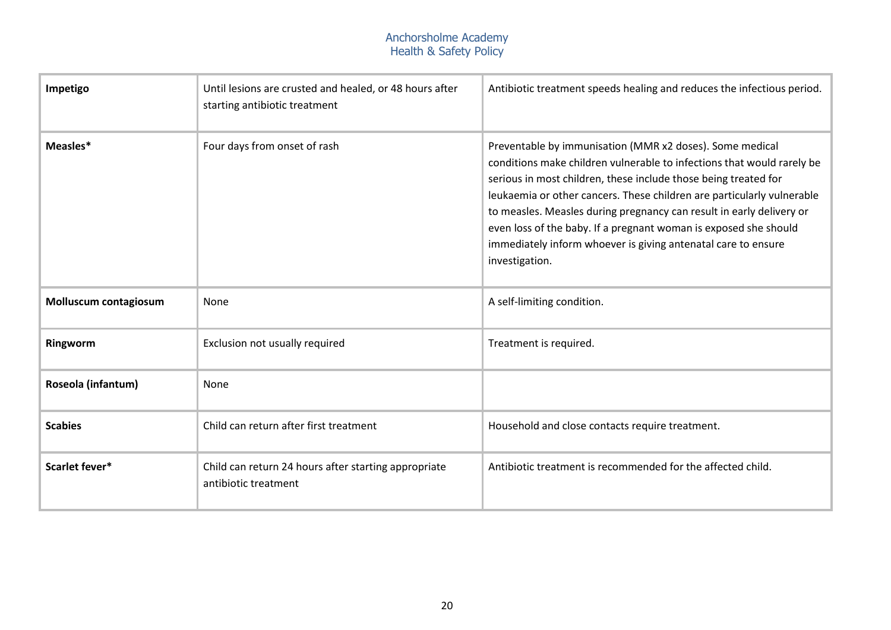| Impetigo              | Until lesions are crusted and healed, or 48 hours after<br>starting antibiotic treatment | Antibiotic treatment speeds healing and reduces the infectious period.                                                                                                                                                                                                                                                                                                                                                                                                                                         |
|-----------------------|------------------------------------------------------------------------------------------|----------------------------------------------------------------------------------------------------------------------------------------------------------------------------------------------------------------------------------------------------------------------------------------------------------------------------------------------------------------------------------------------------------------------------------------------------------------------------------------------------------------|
| Measles*              | Four days from onset of rash                                                             | Preventable by immunisation (MMR x2 doses). Some medical<br>conditions make children vulnerable to infections that would rarely be<br>serious in most children, these include those being treated for<br>leukaemia or other cancers. These children are particularly vulnerable<br>to measles. Measles during pregnancy can result in early delivery or<br>even loss of the baby. If a pregnant woman is exposed she should<br>immediately inform whoever is giving antenatal care to ensure<br>investigation. |
| Molluscum contagiosum | None                                                                                     | A self-limiting condition.                                                                                                                                                                                                                                                                                                                                                                                                                                                                                     |
| Ringworm              | Exclusion not usually required                                                           | Treatment is required.                                                                                                                                                                                                                                                                                                                                                                                                                                                                                         |
| Roseola (infantum)    | None                                                                                     |                                                                                                                                                                                                                                                                                                                                                                                                                                                                                                                |
| <b>Scabies</b>        | Child can return after first treatment                                                   | Household and close contacts require treatment.                                                                                                                                                                                                                                                                                                                                                                                                                                                                |
| Scarlet fever*        | Child can return 24 hours after starting appropriate<br>antibiotic treatment             | Antibiotic treatment is recommended for the affected child.                                                                                                                                                                                                                                                                                                                                                                                                                                                    |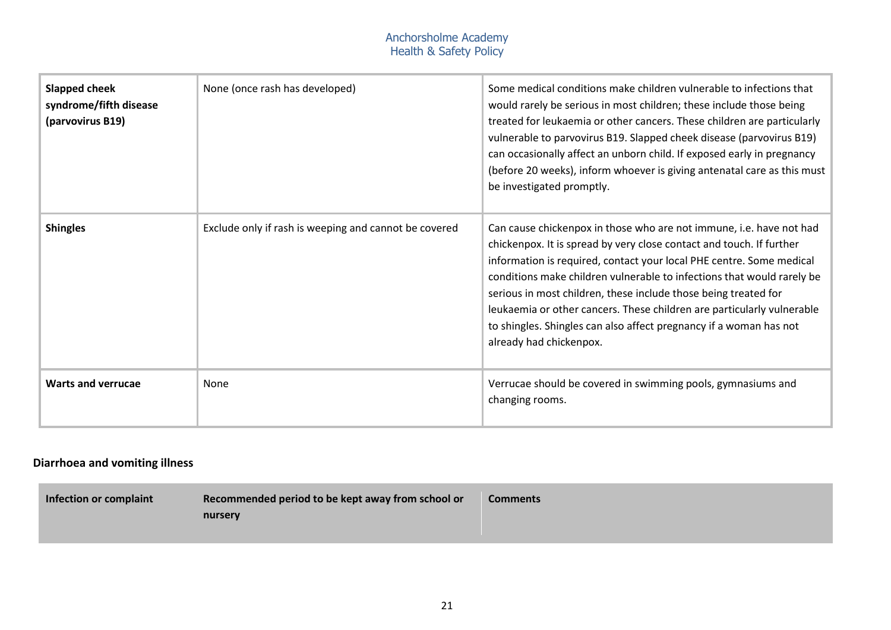| <b>Slapped cheek</b><br>syndrome/fifth disease<br>(parvovirus B19) | None (once rash has developed)                        | Some medical conditions make children vulnerable to infections that<br>would rarely be serious in most children; these include those being<br>treated for leukaemia or other cancers. These children are particularly<br>vulnerable to parvovirus B19. Slapped cheek disease (parvovirus B19)<br>can occasionally affect an unborn child. If exposed early in pregnancy<br>(before 20 weeks), inform whoever is giving antenatal care as this must<br>be investigated promptly.                                                             |
|--------------------------------------------------------------------|-------------------------------------------------------|---------------------------------------------------------------------------------------------------------------------------------------------------------------------------------------------------------------------------------------------------------------------------------------------------------------------------------------------------------------------------------------------------------------------------------------------------------------------------------------------------------------------------------------------|
| <b>Shingles</b>                                                    | Exclude only if rash is weeping and cannot be covered | Can cause chickenpox in those who are not immune, i.e. have not had<br>chickenpox. It is spread by very close contact and touch. If further<br>information is required, contact your local PHE centre. Some medical<br>conditions make children vulnerable to infections that would rarely be<br>serious in most children, these include those being treated for<br>leukaemia or other cancers. These children are particularly vulnerable<br>to shingles. Shingles can also affect pregnancy if a woman has not<br>already had chickenpox. |
| <b>Warts and verrucae</b>                                          | None                                                  | Verrucae should be covered in swimming pools, gymnasiums and<br>changing rooms.                                                                                                                                                                                                                                                                                                                                                                                                                                                             |

# **Diarrhoea and vomiting illness**

| Infection or complaint | Recommended period to be kept away from school or | <b>Comments</b> |
|------------------------|---------------------------------------------------|-----------------|
|                        | nursery                                           |                 |
|                        |                                                   |                 |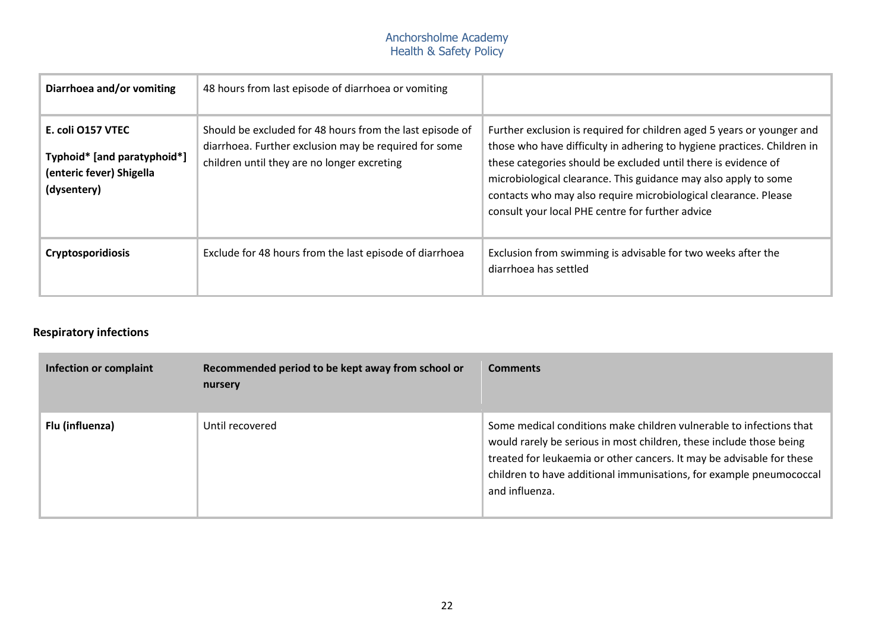| Diarrhoea and/or vomiting                                                                   | 48 hours from last episode of diarrhoea or vomiting                                                                                                              |                                                                                                                                                                                                                                                                                                                                                                                                               |
|---------------------------------------------------------------------------------------------|------------------------------------------------------------------------------------------------------------------------------------------------------------------|---------------------------------------------------------------------------------------------------------------------------------------------------------------------------------------------------------------------------------------------------------------------------------------------------------------------------------------------------------------------------------------------------------------|
| E. coli O157 VTEC<br>Typhoid* [and paratyphoid*]<br>(enteric fever) Shigella<br>(dysentery) | Should be excluded for 48 hours from the last episode of<br>diarrhoea. Further exclusion may be required for some<br>children until they are no longer excreting | Further exclusion is required for children aged 5 years or younger and<br>those who have difficulty in adhering to hygiene practices. Children in<br>these categories should be excluded until there is evidence of<br>microbiological clearance. This guidance may also apply to some<br>contacts who may also require microbiological clearance. Please<br>consult your local PHE centre for further advice |
| <b>Cryptosporidiosis</b>                                                                    | Exclude for 48 hours from the last episode of diarrhoea                                                                                                          | Exclusion from swimming is advisable for two weeks after the<br>diarrhoea has settled                                                                                                                                                                                                                                                                                                                         |

# **Respiratory infections**

| Infection or complaint | Recommended period to be kept away from school or<br>nursery | <b>Comments</b>                                                                                                                                                                                                                                                                                              |
|------------------------|--------------------------------------------------------------|--------------------------------------------------------------------------------------------------------------------------------------------------------------------------------------------------------------------------------------------------------------------------------------------------------------|
| Flu (influenza)        | Until recovered                                              | Some medical conditions make children vulnerable to infections that<br>would rarely be serious in most children, these include those being<br>treated for leukaemia or other cancers. It may be advisable for these<br>children to have additional immunisations, for example pneumococcal<br>and influenza. |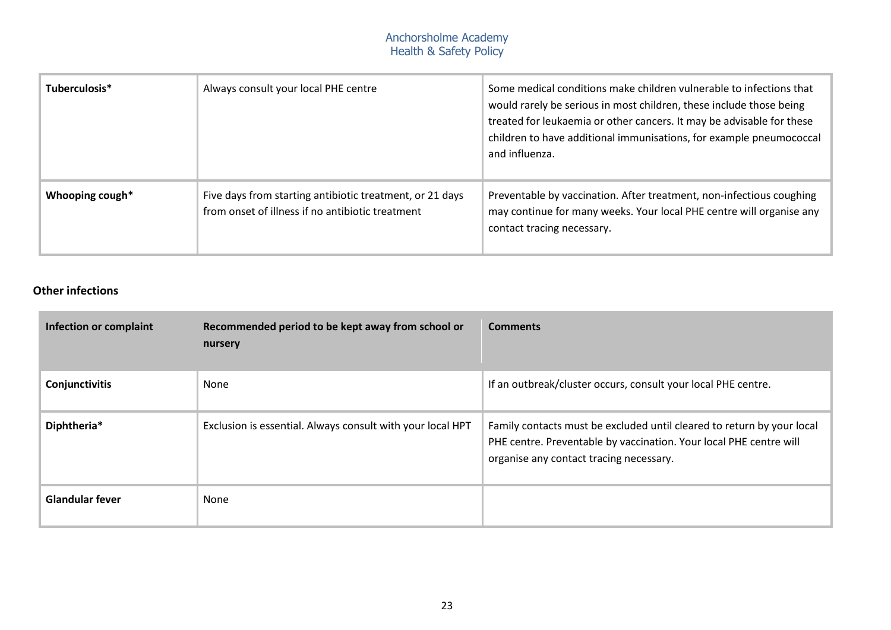| Tuberculosis*   | Always consult your local PHE centre                                                                         | Some medical conditions make children vulnerable to infections that<br>would rarely be serious in most children, these include those being<br>treated for leukaemia or other cancers. It may be advisable for these<br>children to have additional immunisations, for example pneumococcal<br>and influenza. |
|-----------------|--------------------------------------------------------------------------------------------------------------|--------------------------------------------------------------------------------------------------------------------------------------------------------------------------------------------------------------------------------------------------------------------------------------------------------------|
| Whooping cough* | Five days from starting antibiotic treatment, or 21 days<br>from onset of illness if no antibiotic treatment | Preventable by vaccination. After treatment, non-infectious coughing<br>may continue for many weeks. Your local PHE centre will organise any<br>contact tracing necessary.                                                                                                                                   |

## **Other infections**

| <b>Infection or complaint</b> | Recommended period to be kept away from school or<br>nursery | <b>Comments</b>                                                                                                                                                                         |
|-------------------------------|--------------------------------------------------------------|-----------------------------------------------------------------------------------------------------------------------------------------------------------------------------------------|
| Conjunctivitis                | None                                                         | If an outbreak/cluster occurs, consult your local PHE centre.                                                                                                                           |
| Diphtheria*                   | Exclusion is essential. Always consult with your local HPT   | Family contacts must be excluded until cleared to return by your local<br>PHE centre. Preventable by vaccination. Your local PHE centre will<br>organise any contact tracing necessary. |
| <b>Glandular fever</b>        | None                                                         |                                                                                                                                                                                         |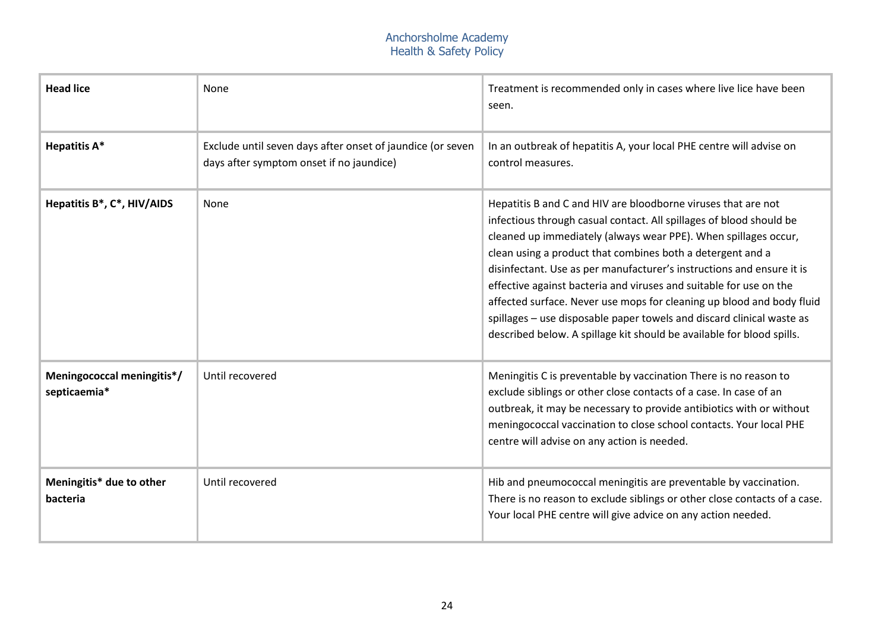| <b>Head lice</b>                           | None                                                                                                   | Treatment is recommended only in cases where live lice have been<br>seen.                                                                                                                                                                                                                                                                                                                                                                                                                                                                                                                                                                       |
|--------------------------------------------|--------------------------------------------------------------------------------------------------------|-------------------------------------------------------------------------------------------------------------------------------------------------------------------------------------------------------------------------------------------------------------------------------------------------------------------------------------------------------------------------------------------------------------------------------------------------------------------------------------------------------------------------------------------------------------------------------------------------------------------------------------------------|
| <b>Hepatitis A*</b>                        | Exclude until seven days after onset of jaundice (or seven<br>days after symptom onset if no jaundice) | In an outbreak of hepatitis A, your local PHE centre will advise on<br>control measures.                                                                                                                                                                                                                                                                                                                                                                                                                                                                                                                                                        |
| Hepatitis B*, C*, HIV/AIDS                 | None                                                                                                   | Hepatitis B and C and HIV are bloodborne viruses that are not<br>infectious through casual contact. All spillages of blood should be<br>cleaned up immediately (always wear PPE). When spillages occur,<br>clean using a product that combines both a detergent and a<br>disinfectant. Use as per manufacturer's instructions and ensure it is<br>effective against bacteria and viruses and suitable for use on the<br>affected surface. Never use mops for cleaning up blood and body fluid<br>spillages - use disposable paper towels and discard clinical waste as<br>described below. A spillage kit should be available for blood spills. |
| Meningococcal meningitis*/<br>septicaemia* | Until recovered                                                                                        | Meningitis C is preventable by vaccination There is no reason to<br>exclude siblings or other close contacts of a case. In case of an<br>outbreak, it may be necessary to provide antibiotics with or without<br>meningococcal vaccination to close school contacts. Your local PHE<br>centre will advise on any action is needed.                                                                                                                                                                                                                                                                                                              |
| Meningitis* due to other<br>bacteria       | Until recovered                                                                                        | Hib and pneumococcal meningitis are preventable by vaccination.<br>There is no reason to exclude siblings or other close contacts of a case.<br>Your local PHE centre will give advice on any action needed.                                                                                                                                                                                                                                                                                                                                                                                                                                    |